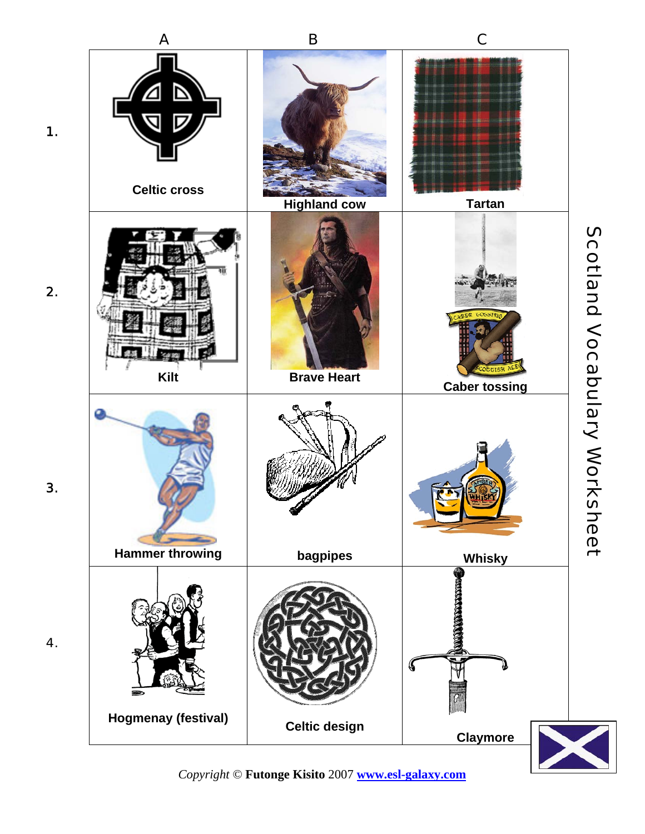

*Copyright* © **Futonge Kisito** 2007 **www.esl-galaxy.com**

2.

3.

4.